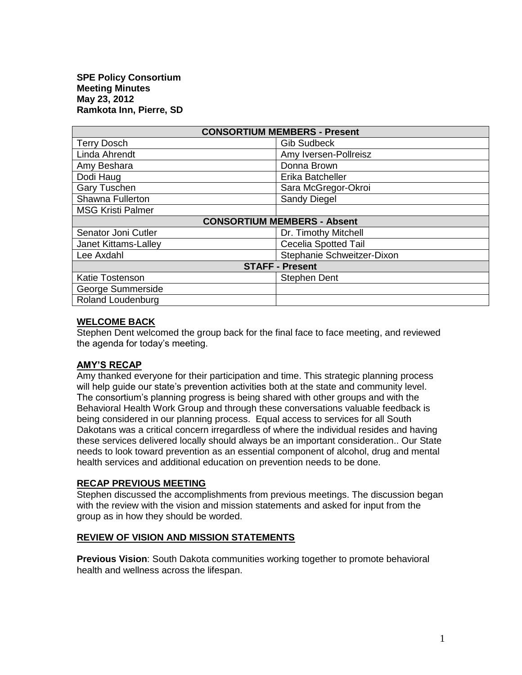| <b>CONSORTIUM MEMBERS - Present</b> |                             |
|-------------------------------------|-----------------------------|
| <b>Terry Dosch</b>                  | <b>Gib Sudbeck</b>          |
| Linda Ahrendt                       | Amy Iversen-Pollreisz       |
| Amy Beshara                         | Donna Brown                 |
| Dodi Haug                           | Erika Batcheller            |
| <b>Gary Tuschen</b>                 | Sara McGregor-Okroi         |
| Shawna Fullerton                    | Sandy Diegel                |
| <b>MSG Kristi Palmer</b>            |                             |
| <b>CONSORTIUM MEMBERS - Absent</b>  |                             |
| Senator Joni Cutler                 | Dr. Timothy Mitchell        |
| Janet Kittams-Lalley                | <b>Cecelia Spotted Tail</b> |
| Lee Axdahl                          | Stephanie Schweitzer-Dixon  |
| <b>STAFF - Present</b>              |                             |
| <b>Katie Tostenson</b>              | <b>Stephen Dent</b>         |
| George Summerside                   |                             |
| Roland Loudenburg                   |                             |

### **WELCOME BACK**

Stephen Dent welcomed the group back for the final face to face meeting, and reviewed the agenda for today's meeting.

### **AMY'S RECAP**

Amy thanked everyone for their participation and time. This strategic planning process will help guide our state's prevention activities both at the state and community level. The consortium's planning progress is being shared with other groups and with the Behavioral Health Work Group and through these conversations valuable feedback is being considered in our planning process. Equal access to services for all South Dakotans was a critical concern irregardless of where the individual resides and having these services delivered locally should always be an important consideration.. Our State needs to look toward prevention as an essential component of alcohol, drug and mental health services and additional education on prevention needs to be done.

#### **RECAP PREVIOUS MEETING**

Stephen discussed the accomplishments from previous meetings. The discussion began with the review with the vision and mission statements and asked for input from the group as in how they should be worded.

### **REVIEW OF VISION AND MISSION STATEMENTS**

**Previous Vision**: South Dakota communities working together to promote behavioral health and wellness across the lifespan.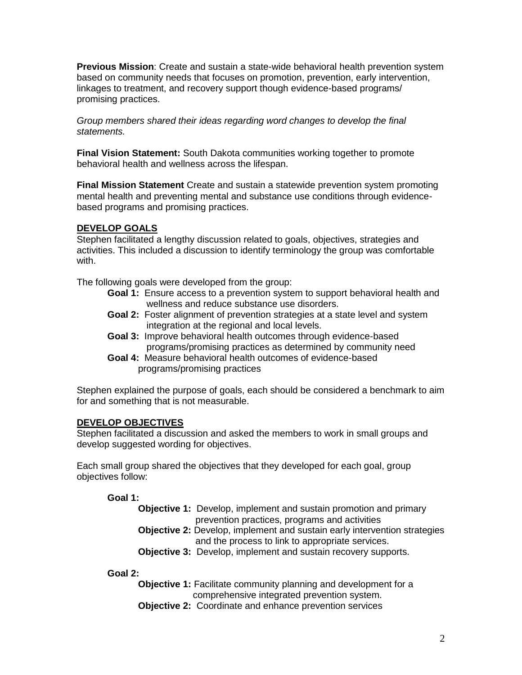**Previous Mission**: Create and sustain a state-wide behavioral health prevention system based on community needs that focuses on promotion, prevention, early intervention, linkages to treatment, and recovery support though evidence-based programs/ promising practices.

*Group members shared their ideas regarding word changes to develop the final statements.* 

**Final Vision Statement:** South Dakota communities working together to promote behavioral health and wellness across the lifespan.

**Final Mission Statement** Create and sustain a statewide prevention system promoting mental health and preventing mental and substance use conditions through evidencebased programs and promising practices.

# **DEVELOP GOALS**

Stephen facilitated a lengthy discussion related to goals, objectives, strategies and activities. This included a discussion to identify terminology the group was comfortable with.

The following goals were developed from the group:

- **Goal 1:** Ensure access to a prevention system to support behavioral health and wellness and reduce substance use disorders.
- **Goal 2:** Foster alignment of prevention strategies at a state level and system integration at the regional and local levels.
- **Goal 3:** Improve behavioral health outcomes through evidence-based programs/promising practices as determined by community need
- **Goal 4:** Measure behavioral health outcomes of evidence-based programs/promising practices

Stephen explained the purpose of goals, each should be considered a benchmark to aim for and something that is not measurable.

### **DEVELOP OBJECTIVES**

Stephen facilitated a discussion and asked the members to work in small groups and develop suggested wording for objectives.

Each small group shared the objectives that they developed for each goal, group objectives follow:

# **Goal 1:**

- **Objective 1:** Develop, implement and sustain promotion and primary prevention practices, programs and activities
- **Objective 2:** Develop, implement and sustain early intervention strategies and the process to link to appropriate services.
- **Objective 3:** Develop, implement and sustain recovery supports.

**Goal 2:**

- **Objective 1:** Facilitate community planning and development for a comprehensive integrated prevention system.
- **Objective 2:** Coordinate and enhance prevention services